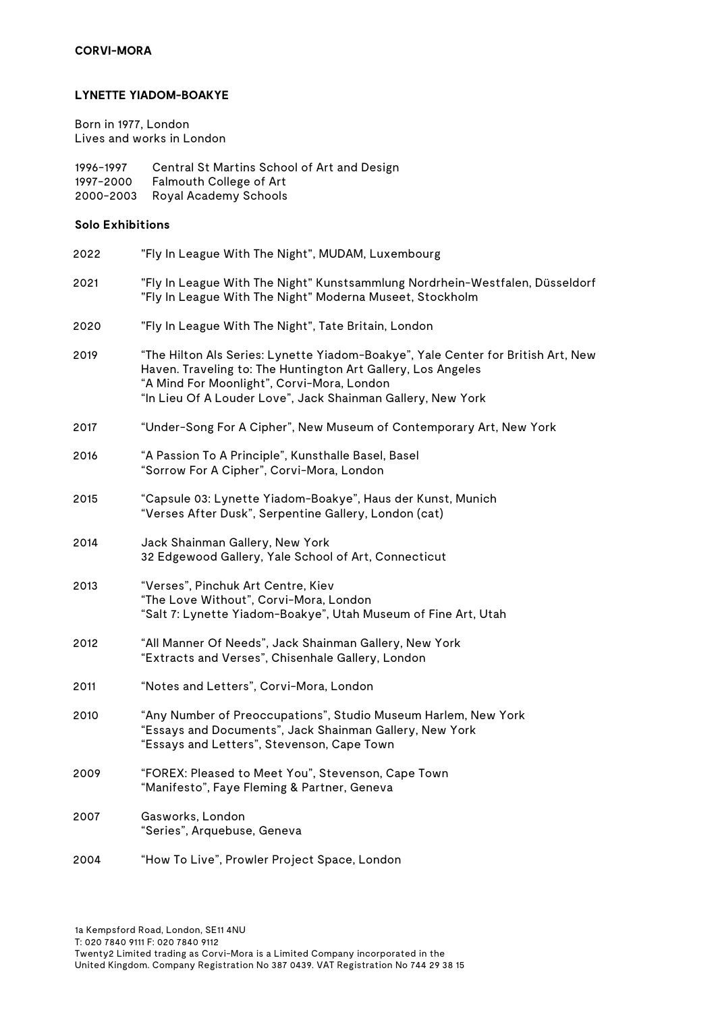### **LYNETTE YIADOM-BOAKYE**

Born in 1977, London Lives and works in London

| 1996-1997 | Central St Martins School of Art and Design |
|-----------|---------------------------------------------|
| 1997-2000 | Falmouth College of Art                     |
| 2000-2003 | Royal Academy Schools                       |

## **Solo Exhibitions**

| 2022 | "Fly In League With The Night", MUDAM, Luxembourg                                                                                                                                                                                                             |
|------|---------------------------------------------------------------------------------------------------------------------------------------------------------------------------------------------------------------------------------------------------------------|
| 2021 | "Fly In League With The Night" Kunstsammlung Nordrhein-Westfalen, Düsseldorf<br>"Fly In League With The Night" Moderna Museet, Stockholm                                                                                                                      |
| 2020 | "Fly In League With The Night", Tate Britain, London                                                                                                                                                                                                          |
| 2019 | "The Hilton Als Series: Lynette Yiadom-Boakye", Yale Center for British Art, New<br>Haven. Traveling to: The Huntington Art Gallery, Los Angeles<br>"A Mind For Moonlight", Corvi-Mora, London<br>"In Lieu Of A Louder Love", Jack Shainman Gallery, New York |
| 2017 | "Under-Song For A Cipher", New Museum of Contemporary Art, New York                                                                                                                                                                                           |
| 2016 | "A Passion To A Principle", Kunsthalle Basel, Basel<br>"Sorrow For A Cipher", Corvi-Mora, London                                                                                                                                                              |
| 2015 | "Capsule 03: Lynette Yiadom-Boakye", Haus der Kunst, Munich<br>"Verses After Dusk", Serpentine Gallery, London (cat)                                                                                                                                          |
| 2014 | Jack Shainman Gallery, New York<br>32 Edgewood Gallery, Yale School of Art, Connecticut                                                                                                                                                                       |
| 2013 | "Verses", Pinchuk Art Centre, Kiev<br>"The Love Without", Corvi-Mora, London<br>"Salt 7: Lynette Yiadom-Boakye", Utah Museum of Fine Art, Utah                                                                                                                |
| 2012 | "All Manner Of Needs", Jack Shainman Gallery, New York<br>"Extracts and Verses", Chisenhale Gallery, London                                                                                                                                                   |
| 2011 | "Notes and Letters", Corvi-Mora, London                                                                                                                                                                                                                       |
| 2010 | "Any Number of Preoccupations", Studio Museum Harlem, New York<br>"Essays and Documents", Jack Shainman Gallery, New York<br>"Essays and Letters", Stevenson, Cape Town                                                                                       |
| 2009 | "FOREX: Pleased to Meet You", Stevenson, Cape Town<br>"Manifesto", Faye Fleming & Partner, Geneva                                                                                                                                                             |
| 2007 | Gasworks, London<br>"Series", Arquebuse, Geneva                                                                                                                                                                                                               |
| 2004 | "How To Live", Prowler Project Space, London                                                                                                                                                                                                                  |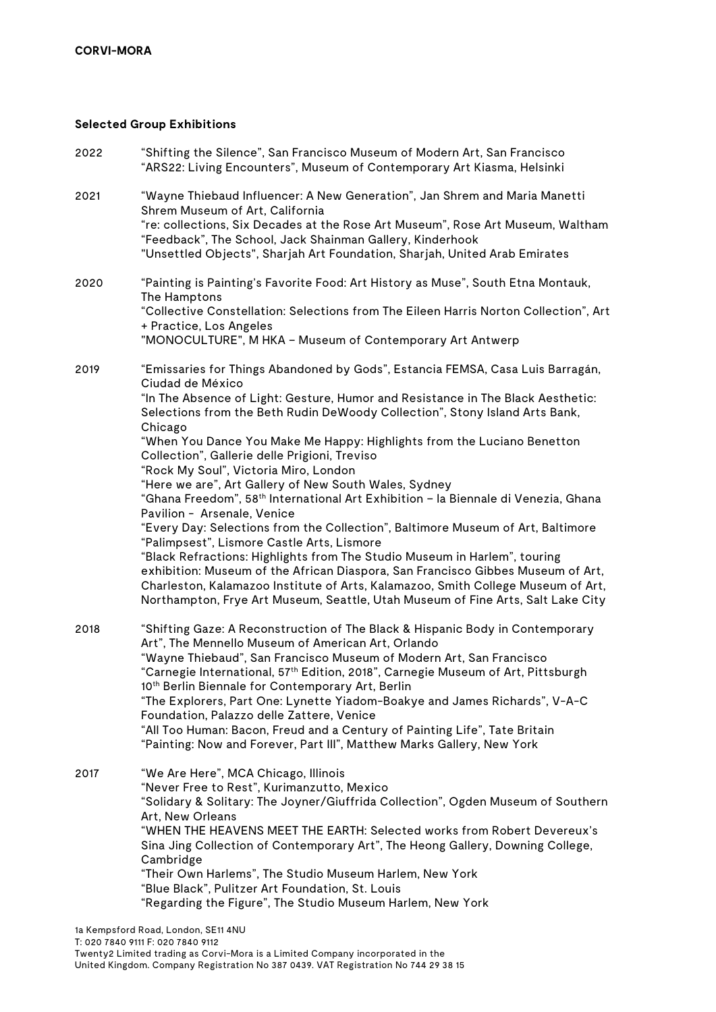### **Selected Group Exhibitions**

| 2022 | "Shifting the Silence", San Francisco Museum of Modern Art, San Francisco<br>"ARS22: Living Encounters", Museum of Contemporary Art Kiasma, Helsinki                                                                                                                                                                                                                                                                                                                                                                                                                                                                                                                                                                                                                                                                                                                                                                                                                                                                                                                                                                   |
|------|------------------------------------------------------------------------------------------------------------------------------------------------------------------------------------------------------------------------------------------------------------------------------------------------------------------------------------------------------------------------------------------------------------------------------------------------------------------------------------------------------------------------------------------------------------------------------------------------------------------------------------------------------------------------------------------------------------------------------------------------------------------------------------------------------------------------------------------------------------------------------------------------------------------------------------------------------------------------------------------------------------------------------------------------------------------------------------------------------------------------|
| 2021 | "Wayne Thiebaud Influencer: A New Generation", Jan Shrem and Maria Manetti<br>Shrem Museum of Art, California<br>"re: collections, Six Decades at the Rose Art Museum", Rose Art Museum, Waltham<br>"Feedback", The School, Jack Shainman Gallery, Kinderhook<br>"Unsettled Objects", Sharjah Art Foundation, Sharjah, United Arab Emirates                                                                                                                                                                                                                                                                                                                                                                                                                                                                                                                                                                                                                                                                                                                                                                            |
| 2020 | "Painting is Painting's Favorite Food: Art History as Muse", South Etna Montauk,<br>The Hamptons<br>"Collective Constellation: Selections from The Eileen Harris Norton Collection", Art<br>+ Practice, Los Angeles<br>"MONOCULTURE", M HKA - Museum of Contemporary Art Antwerp                                                                                                                                                                                                                                                                                                                                                                                                                                                                                                                                                                                                                                                                                                                                                                                                                                       |
| 2019 | "Emissaries for Things Abandoned by Gods", Estancia FEMSA, Casa Luis Barragán,<br>Ciudad de México<br>"In The Absence of Light: Gesture, Humor and Resistance in The Black Aesthetic:<br>Selections from the Beth Rudin DeWoody Collection", Stony Island Arts Bank,<br>Chicago<br>"When You Dance You Make Me Happy: Highlights from the Luciano Benetton<br>Collection", Gallerie delle Prigioni, Treviso<br>"Rock My Soul", Victoria Miro, London<br>"Here we are", Art Gallery of New South Wales, Sydney<br>"Ghana Freedom", 58 <sup>th</sup> International Art Exhibition - la Biennale di Venezia, Ghana<br>Pavilion - Arsenale, Venice<br>"Every Day: Selections from the Collection", Baltimore Museum of Art, Baltimore<br>"Palimpsest", Lismore Castle Arts, Lismore<br>"Black Refractions: Highlights from The Studio Museum in Harlem", touring<br>exhibition: Museum of the African Diaspora, San Francisco Gibbes Museum of Art,<br>Charleston, Kalamazoo Institute of Arts, Kalamazoo, Smith College Museum of Art,<br>Northampton, Frye Art Museum, Seattle, Utah Museum of Fine Arts, Salt Lake City |
| 2018 | "Shifting Gaze: A Reconstruction of The Black & Hispanic Body in Contemporary<br>Art", The Mennello Museum of American Art, Orlando<br>"Wayne Thiebaud", San Francisco Museum of Modern Art, San Francisco<br>"Carnegie International, 57 <sup>th</sup> Edition, 2018", Carnegie Museum of Art, Pittsburgh<br>10 <sup>th</sup> Berlin Biennale for Contemporary Art, Berlin<br>"The Explorers, Part One: Lynette Yiadom-Boakye and James Richards", V-A-C<br>Foundation, Palazzo delle Zattere, Venice<br>"All Too Human: Bacon, Freud and a Century of Painting Life", Tate Britain<br>"Painting: Now and Forever, Part III", Matthew Marks Gallery, New York                                                                                                                                                                                                                                                                                                                                                                                                                                                         |
| 2017 | "We Are Here", MCA Chicago, Illinois<br>"Never Free to Rest", Kurimanzutto, Mexico<br>"Solidary & Solitary: The Joyner/Giuffrida Collection", Ogden Museum of Southern<br>Art, New Orleans<br>"WHEN THE HEAVENS MEET THE EARTH: Selected works from Robert Devereux's<br>Sina Jing Collection of Contemporary Art", The Heong Gallery, Downing College,<br>Cambridge<br>"Their Own Harlems", The Studio Museum Harlem, New York<br>"Blue Black", Pulitzer Art Foundation, St. Louis<br>"Regarding the Figure", The Studio Museum Harlem, New York                                                                                                                                                                                                                                                                                                                                                                                                                                                                                                                                                                      |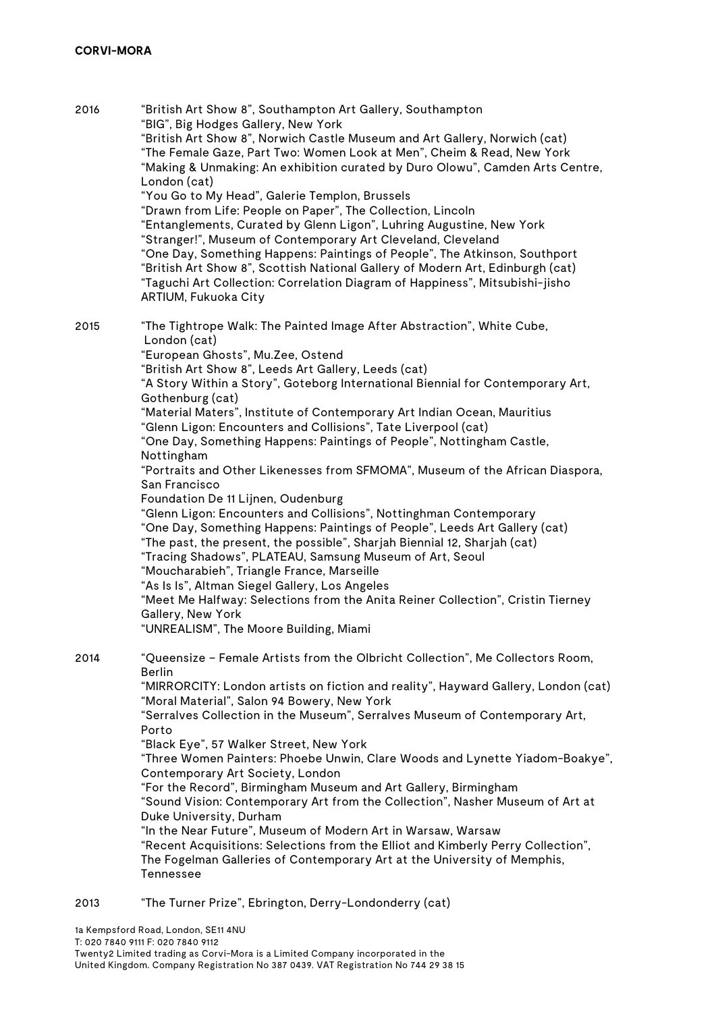| 2016 | "British Art Show 8", Southampton Art Gallery, Southampton<br>"BIG", Big Hodges Gallery, New York<br>"British Art Show 8", Norwich Castle Museum and Art Gallery, Norwich (cat)<br>"The Female Gaze, Part Two: Women Look at Men", Cheim & Read, New York<br>"Making & Unmaking: An exhibition curated by Duro Olowu", Camden Arts Centre,<br>London (cat)<br>"You Go to My Head", Galerie Templon, Brussels<br>"Drawn from Life: People on Paper", The Collection, Lincoln<br>"Entanglements, Curated by Glenn Ligon", Luhring Augustine, New York<br>"Stranger!", Museum of Contemporary Art Cleveland, Cleveland<br>"One Day, Something Happens: Paintings of People", The Atkinson, Southport<br>"British Art Show 8", Scottish National Gallery of Modern Art, Edinburgh (cat)<br>"Taguchi Art Collection: Correlation Diagram of Happiness", Mitsubishi-jisho<br>ARTIUM, Fukuoka City                                                                                                                                                                                                                                                                                                                            |
|------|------------------------------------------------------------------------------------------------------------------------------------------------------------------------------------------------------------------------------------------------------------------------------------------------------------------------------------------------------------------------------------------------------------------------------------------------------------------------------------------------------------------------------------------------------------------------------------------------------------------------------------------------------------------------------------------------------------------------------------------------------------------------------------------------------------------------------------------------------------------------------------------------------------------------------------------------------------------------------------------------------------------------------------------------------------------------------------------------------------------------------------------------------------------------------------------------------------------------|
| 2015 | "The Tightrope Walk: The Painted Image After Abstraction", White Cube,<br>London (cat)<br>"European Ghosts", Mu.Zee, Ostend<br>"British Art Show 8", Leeds Art Gallery, Leeds (cat)<br>"A Story Within a Story", Goteborg International Biennial for Contemporary Art,<br>Gothenburg (cat)<br>"Material Maters", Institute of Contemporary Art Indian Ocean, Mauritius<br>"Glenn Ligon: Encounters and Collisions", Tate Liverpool (cat)<br>"One Day, Something Happens: Paintings of People", Nottingham Castle,<br>Nottingham<br>"Portraits and Other Likenesses from SFMOMA", Museum of the African Diaspora,<br>San Francisco<br>Foundation De 11 Lijnen, Oudenburg<br>"Glenn Ligon: Encounters and Collisions", Nottinghman Contemporary<br>"One Day, Something Happens: Paintings of People", Leeds Art Gallery (cat)<br>"The past, the present, the possible", Sharjah Biennial 12, Sharjah (cat)<br>"Tracing Shadows", PLATEAU, Samsung Museum of Art, Seoul<br>"Moucharabieh", Triangle France, Marseille<br>"As Is Is", Altman Siegel Gallery, Los Angeles<br>"Meet Me Halfway: Selections from the Anita Reiner Collection", Cristin Tierney<br>Gallery, New York<br>"UNREALISM", The Moore Building, Miami |
| 2014 | "Queensize - Female Artists from the Olbricht Collection", Me Collectors Room,<br><b>Berlin</b><br>"MIRRORCITY: London artists on fiction and reality", Hayward Gallery, London (cat)<br>"Moral Material", Salon 94 Bowery, New York<br>"Serralves Collection in the Museum", Serralves Museum of Contemporary Art,<br>Porto<br>"Black Eye", 57 Walker Street, New York<br>"Three Women Painters: Phoebe Unwin, Clare Woods and Lynette Yiadom-Boakye",<br>Contemporary Art Society, London<br>"For the Record", Birmingham Museum and Art Gallery, Birmingham<br>"Sound Vision: Contemporary Art from the Collection", Nasher Museum of Art at<br>Duke University, Durham<br>"In the Near Future", Museum of Modern Art in Warsaw, Warsaw<br>"Recent Acquisitions: Selections from the Elliot and Kimberly Perry Collection",<br>The Fogelman Galleries of Contemporary Art at the University of Memphis,<br>Tennessee                                                                                                                                                                                                                                                                                                |
|      |                                                                                                                                                                                                                                                                                                                                                                                                                                                                                                                                                                                                                                                                                                                                                                                                                                                                                                                                                                                                                                                                                                                                                                                                                        |

# 2013 "The Turner Prize", Ebrington, Derry-Londonderry (cat)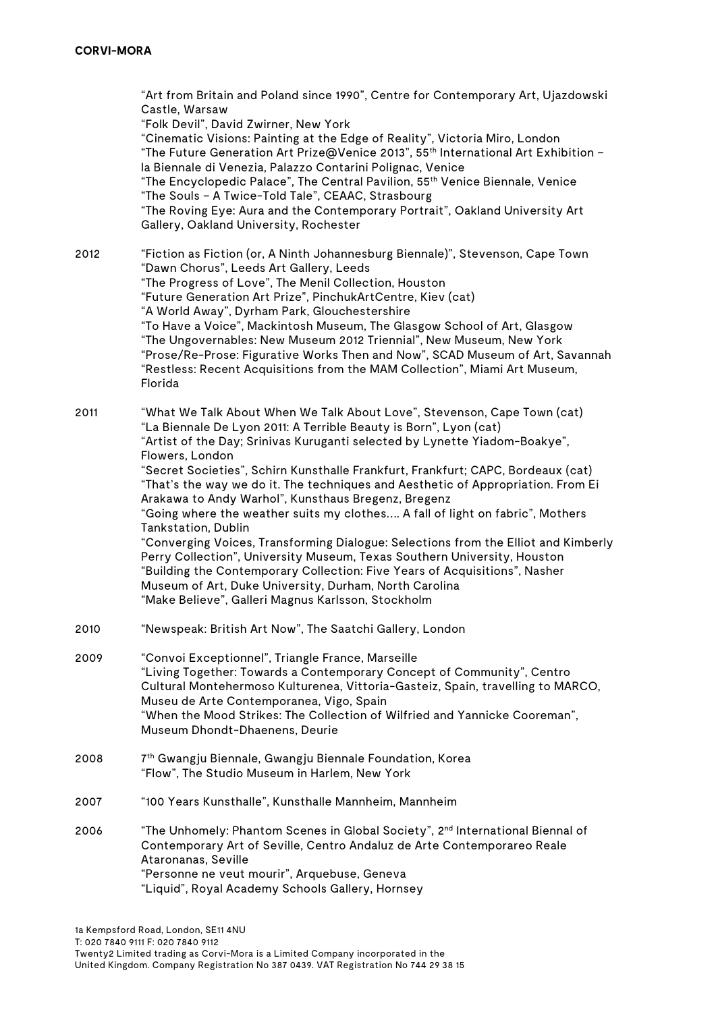"Art from Britain and Poland since 1990", Centre for Contemporary Art, Ujazdowski Castle, Warsaw "Folk Devil", David Zwirner, New York "Cinematic Visions: Painting at the Edge of Reality", Victoria Miro, London "The Future Generation Art Prize@Venice 2013", 55th International Art Exhibition – la Biennale di Venezia, Palazzo Contarini Polignac, Venice "The Encyclopedic Palace", The Central Pavilion,  $55<sup>th</sup>$  Venice Biennale, Venice "The Souls – A Twice-Told Tale", CEAAC, Strasbourg "The Roving Eye: Aura and the Contemporary Portrait", Oakland University Art Gallery, Oakland University, Rochester 2012 "Fiction as Fiction (or, A Ninth Johannesburg Biennale)", Stevenson, Cape Town "Dawn Chorus", Leeds Art Gallery, Leeds "The Progress of Love", The Menil Collection, Houston "Future Generation Art Prize", PinchukArtCentre, Kiev (cat) "A World Away", Dyrham Park, Glouchestershire "To Have a Voice", Mackintosh Museum, The Glasgow School of Art, Glasgow "The Ungovernables: New Museum 2012 Triennial", New Museum, New York "Prose/Re-Prose: Figurative Works Then and Now", SCAD Museum of Art, Savannah "Restless: Recent Acquisitions from the MAM Collection", Miami Art Museum, Florida 2011 "What We Talk About When We Talk About Love", Stevenson, Cape Town (cat) "La Biennale De Lyon 2011: A Terrible Beauty is Born", Lyon (cat) "Artist of the Day; Srinivas Kuruganti selected by Lynette Yiadom-Boakye", Flowers, London "Secret Societies", Schirn Kunsthalle Frankfurt, Frankfurt; CAPC, Bordeaux (cat) "That's the way we do it. The techniques and Aesthetic of Appropriation. From Ei Arakawa to Andy Warhol", Kunsthaus Bregenz, Bregenz "Going where the weather suits my clothes…. A fall of light on fabric", Mothers Tankstation, Dublin "Converging Voices, Transforming Dialogue: Selections from the Elliot and Kimberly Perry Collection", University Museum, Texas Southern University, Houston "Building the Contemporary Collection: Five Years of Acquisitions", Nasher Museum of Art, Duke University, Durham, North Carolina "Make Believe", Galleri Magnus Karlsson, Stockholm 2010 "Newspeak: British Art Now", The Saatchi Gallery, London 2009 "Convoi Exceptionnel", Triangle France, Marseille "Living Together: Towards a Contemporary Concept of Community", Centro Cultural Montehermoso Kulturenea, Vittoria-Gasteiz, Spain, travelling to MARCO, Museu de Arte Contemporanea, Vigo, Spain "When the Mood Strikes: The Collection of Wilfried and Yannicke Cooreman", Museum Dhondt-Dhaenens, Deurie 2008 7th Gwangju Biennale, Gwangju Biennale Foundation, Korea "Flow", The Studio Museum in Harlem, New York 2007 "100 Years Kunsthalle", Kunsthalle Mannheim, Mannheim 2006 "The Unhomely: Phantom Scenes in Global Society", 2nd International Biennal of Contemporary Art of Seville, Centro Andaluz de Arte Contemporareo Reale Ataronanas, Seville "Personne ne veut mourir", Arquebuse, Geneva "Liquid", Royal Academy Schools Gallery, Hornsey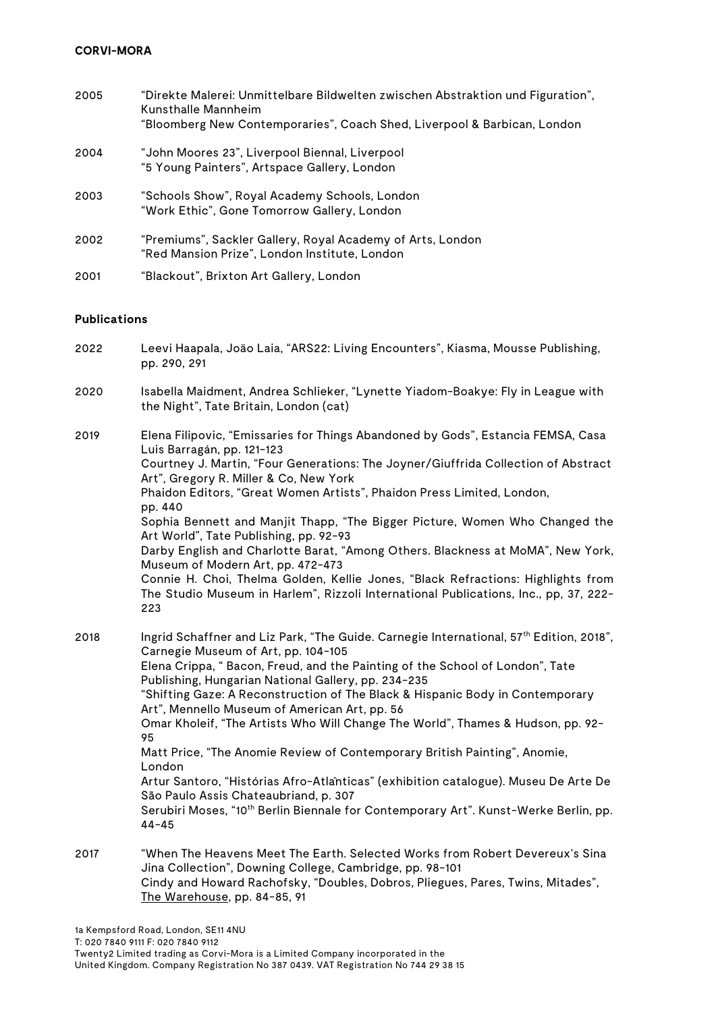# **CORVI-MORA**

| 2005 | "Direkte Malerei: Unmittelbare Bildwelten zwischen Abstraktion und Figuration",<br>Kunsthalle Mannheim      |
|------|-------------------------------------------------------------------------------------------------------------|
|      | "Bloomberg New Contemporaries", Coach Shed, Liverpool & Barbican, London                                    |
| 2004 | "John Moores 23", Liverpool Biennal, Liverpool<br>"5 Young Painters", Artspace Gallery, London              |
| 2003 | "Schools Show", Royal Academy Schools, London<br>"Work Ethic", Gone Tomorrow Gallery, London                |
| 2002 | "Premiums", Sackler Gallery, Royal Academy of Arts, London<br>"Red Mansion Prize", London Institute, London |
| 2001 | "Blackout", Brixton Art Gallery, London                                                                     |

## **Publications**

| 2022 | Leevi Haapala, Joäo Laia, "ARS22: Living Encounters", Kiasma, Mousse Publishing,<br>pp. 290, 291                                                                                                                                                                                                                                                                                                                                                                                                                                                                                                                                                                                                                                                                                                                                                     |
|------|------------------------------------------------------------------------------------------------------------------------------------------------------------------------------------------------------------------------------------------------------------------------------------------------------------------------------------------------------------------------------------------------------------------------------------------------------------------------------------------------------------------------------------------------------------------------------------------------------------------------------------------------------------------------------------------------------------------------------------------------------------------------------------------------------------------------------------------------------|
| 2020 | Isabella Maidment, Andrea Schlieker, "Lynette Yiadom-Boakye: Fly in League with<br>the Night", Tate Britain, London (cat)                                                                                                                                                                                                                                                                                                                                                                                                                                                                                                                                                                                                                                                                                                                            |
| 2019 | Elena Filipovic, "Emissaries for Things Abandoned by Gods", Estancia FEMSA, Casa<br>Luis Barragán, pp. 121-123<br>Courtney J. Martin, "Four Generations: The Joyner/Giuffrida Collection of Abstract<br>Art", Gregory R. Miller & Co, New York<br>Phaidon Editors, "Great Women Artists", Phaidon Press Limited, London,<br>pp. 440<br>Sophia Bennett and Manjit Thapp, "The Bigger Picture, Women Who Changed the<br>Art World", Tate Publishing, pp. 92-93<br>Darby English and Charlotte Barat, "Among Others. Blackness at MoMA", New York,<br>Museum of Modern Art, pp. 472-473<br>Connie H. Choi, Thelma Golden, Kellie Jones, "Black Refractions: Highlights from<br>The Studio Museum in Harlem", Rizzoli International Publications, Inc., pp, 37, 222-<br>223                                                                              |
| 2018 | Ingrid Schaffner and Liz Park, "The Guide. Carnegie International, 57 <sup>th</sup> Edition, 2018",<br>Carnegie Museum of Art, pp. 104-105<br>Elena Crippa, "Bacon, Freud, and the Painting of the School of London", Tate<br>Publishing, Hungarian National Gallery, pp. 234-235<br>"Shifting Gaze: A Reconstruction of The Black & Hispanic Body in Contemporary<br>Art", Mennello Museum of American Art, pp. 56<br>Omar Kholeif, "The Artists Who Will Change The World", Thames & Hudson, pp. 92-<br>95<br>Matt Price, "The Anomie Review of Contemporary British Painting", Anomie,<br>London<br>Artur Santoro, "Histórias Afro-Atlanticas" (exhibition catalogue). Museu De Arte De<br>São Paulo Assis Chateaubriand, p. 307<br>Serubiri Moses, "10 <sup>th</sup> Berlin Biennale for Contemporary Art". Kunst-Werke Berlin, pp.<br>$44 - 45$ |
| 2017 | "When The Heavens Meet The Earth. Selected Works from Robert Devereux's Sina<br>Jina Collection", Downing College, Cambridge, pp. 98-101<br>Cindy and Howard Rachofsky, "Doubles, Dobros, Pliegues, Pares, Twins, Mitades",<br>The Warehouse, pp. 84-85, 91                                                                                                                                                                                                                                                                                                                                                                                                                                                                                                                                                                                          |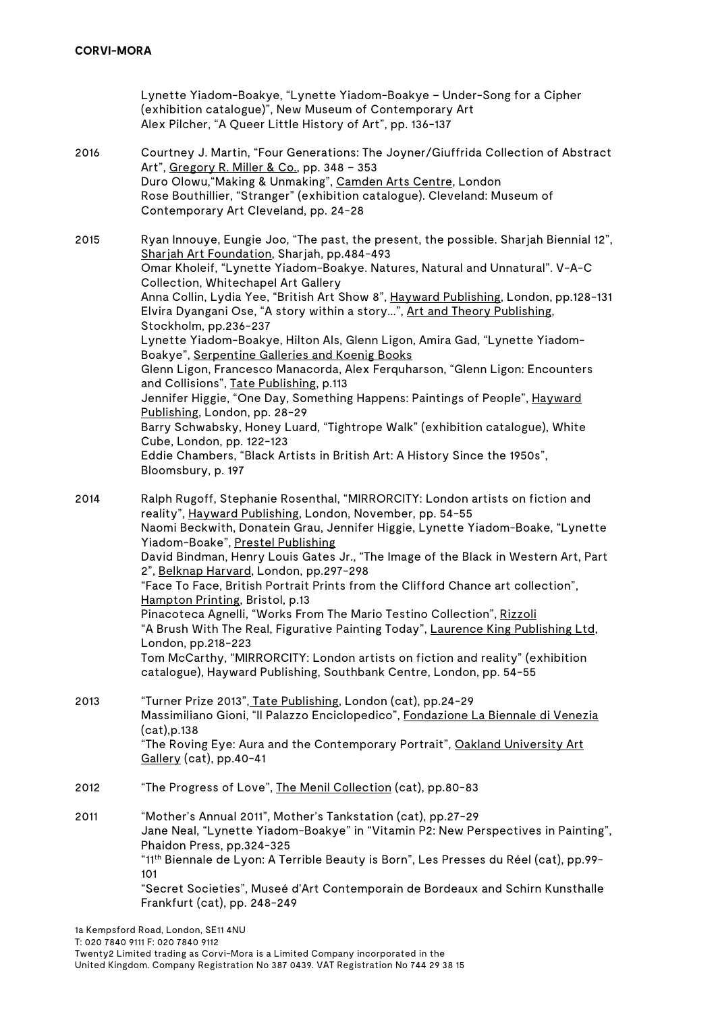Lynette Yiadom-Boakye, "Lynette Yiadom-Boakye – Under-Song for a Cipher (exhibition catalogue)", New Museum of Contemporary Art Alex Pilcher, "A Queer Little History of Art", pp. 136-137 2016 Courtney J. Martin, "Four Generations: The Joyner/Giuffrida Collection of Abstract Art", Gregory R. Miller & Co., pp. 348 – 353 Duro Olowu,"Making & Unmaking", Camden Arts Centre, London Rose Bouthillier, "Stranger" (exhibition catalogue). Cleveland: Museum of Contemporary Art Cleveland, pp. 24-28 2015 Ryan Innouye, Eungie Joo, "The past, the present, the possible. Sharjah Biennial 12", Sharjah Art Foundation, Sharjah, pp.484-493 Omar Kholeif, "Lynette Yiadom-Boakye. Natures, Natural and Unnatural". V-A-C Collection, Whitechapel Art Gallery Anna Collin, Lydia Yee, "British Art Show 8", Hayward Publishing, London, pp.128-131 Elvira Dyangani Ose, "A story within a story...", Art and Theory Publishing, Stockholm, pp.236-237 Lynette Yiadom-Boakye, Hilton Als, Glenn Ligon, Amira Gad, "Lynette Yiadom-Boakye", Serpentine Galleries and Koenig Books Glenn Ligon, Francesco Manacorda, Alex Ferquharson, "Glenn Ligon: Encounters and Collisions", Tate Publishing, p.113 Jennifer Higgie, "One Day, Something Happens: Paintings of People", Hayward Publishing, London, pp. 28-29 Barry Schwabsky, Honey Luard, "Tightrope Walk" (exhibition catalogue), White Cube, London, pp. 122-123 Eddie Chambers, "Black Artists in British Art: A History Since the 1950s", Bloomsbury, p. 197 2014 Ralph Rugoff, Stephanie Rosenthal, "MIRRORCITY: London artists on fiction and reality", Hayward Publishing, London, November, pp. 54-55 Naomi Beckwith, Donatein Grau, Jennifer Higgie, Lynette Yiadom-Boake, "Lynette Yiadom-Boake", Prestel Publishing David Bindman, Henry Louis Gates Jr., "The Image of the Black in Western Art, Part 2", Belknap Harvard, London, pp.297-298 "Face To Face, British Portrait Prints from the Clifford Chance art collection", Hampton Printing, Bristol, p.13 Pinacoteca Agnelli, "Works From The Mario Testino Collection", Rizzoli "A Brush With The Real, Figurative Painting Today", Laurence King Publishing Ltd, London, pp.218-223 Tom McCarthy, "MIRRORCITY: London artists on fiction and reality" (exhibition catalogue), Hayward Publishing, Southbank Centre, London, pp. 54-55 2013 "Turner Prize 2013", Tate Publishing, London (cat), pp.24-29 Massimiliano Gioni, "Il Palazzo Enciclopedico", Fondazione La Biennale di Venezia (cat),p.138 "The Roving Eye: Aura and the Contemporary Portrait", Oakland University Art Gallery (cat), pp.40-41 2012 "The Progress of Love", The Menil Collection (cat), pp.80-83 2011 "Mother's Annual 2011", Mother's Tankstation (cat), pp.27-29 Jane Neal, "Lynette Yiadom-Boakye" in "Vitamin P2: New Perspectives in Painting", Phaidon Press, pp.324-325 "11th Biennale de Lyon: A Terrible Beauty is Born", Les Presses du Réel (cat), pp.99- 101 "Secret Societies", Museé d'Art Contemporain de Bordeaux and Schirn Kunsthalle Frankfurt (cat), pp. 248-249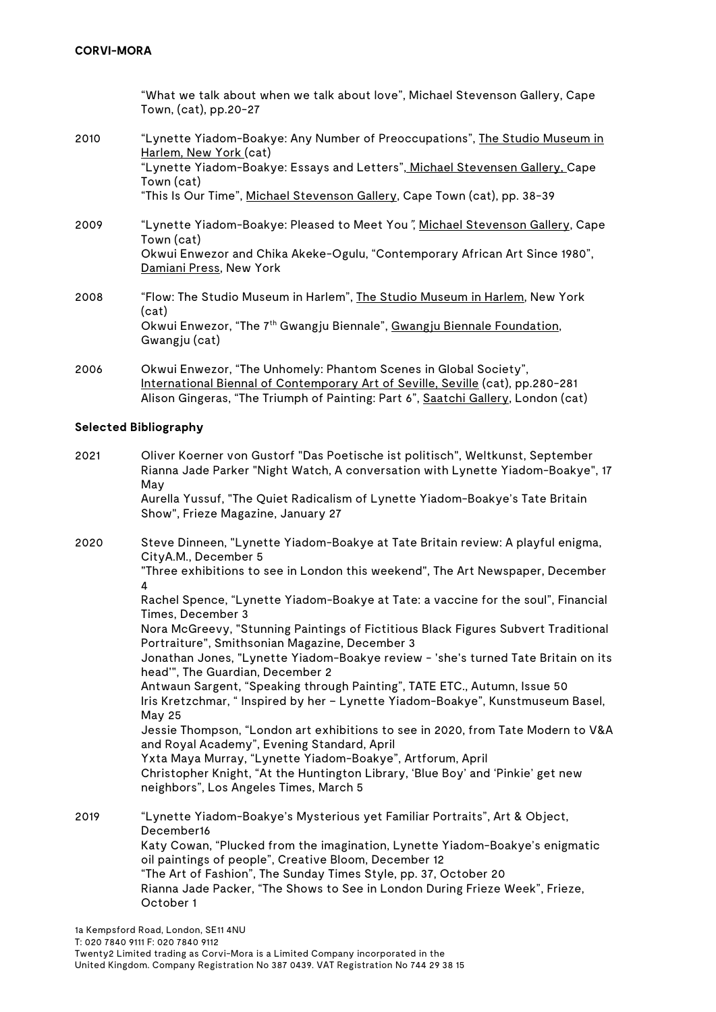|      | "What we talk about when we talk about love", Michael Stevenson Gallery, Cape<br>Town, (cat), pp.20-27                                                                                                                                                                                                                                                                                                                                           |
|------|--------------------------------------------------------------------------------------------------------------------------------------------------------------------------------------------------------------------------------------------------------------------------------------------------------------------------------------------------------------------------------------------------------------------------------------------------|
| 2010 | "Lynette Yiadom-Boakye: Any Number of Preoccupations", The Studio Museum in<br>Harlem, New York (cat)<br>"Lynette Yiadom-Boakye: Essays and Letters", Michael Stevensen Gallery, Cape<br>Town (cat)<br>"This Is Our Time", Michael Stevenson Gallery, Cape Town (cat), pp. 38-39                                                                                                                                                                 |
| 2009 | "Lynette Yiadom-Boakye: Pleased to Meet You", Michael Stevenson Gallery, Cape<br>Town (cat)<br>Okwui Enwezor and Chika Akeke-Ogulu, "Contemporary African Art Since 1980",<br>Damiani Press, New York                                                                                                                                                                                                                                            |
| 2008 | "Flow: The Studio Museum in Harlem", The Studio Museum in Harlem, New York<br>(cat)<br>Okwui Enwezor, "The 7 <sup>th</sup> Gwangju Biennale", Gwangju Biennale Foundation,<br>Gwangju (cat)                                                                                                                                                                                                                                                      |
| 2006 | Okwui Enwezor, "The Unhomely: Phantom Scenes in Global Society",<br>International Biennal of Contemporary Art of Seville, Seville (cat), pp.280-281<br>Alison Gingeras, "The Triumph of Painting: Part 6", Saatchi Gallery, London (cat)                                                                                                                                                                                                         |
|      | <b>Selected Bibliography</b>                                                                                                                                                                                                                                                                                                                                                                                                                     |
| 2021 | Oliver Koerner von Gustorf "Das Poetische ist politisch", Weltkunst, September<br>Rianna Jade Parker "Night Watch, A conversation with Lynette Yiadom-Boakye", 17<br>May<br>Aurella Yussuf, "The Quiet Radicalism of Lynette Yiadom-Boakye's Tate Britain<br>Show", Frieze Magazine, January 27                                                                                                                                                  |
| 2020 | Steve Dinneen, "Lynette Yiadom-Boakye at Tate Britain review: A playful enigma,<br>CityA.M., December 5<br>"Three exhibitions to see in London this weekend", The Art Newspaper, December<br>4<br>Rachel Spence, "Lynette Yiadom-Boakye at Tate: a vaccine for the soul", Financial<br>Times, December 3<br>Nora McGreevy, "Stunning Paintings of Fictitious Black Figures Subvert Traditional<br>Portraiture", Smithsonian Magazine, December 3 |

2019 "Lynette Yiadom-Boakye's Mysterious yet Familiar Portraits", Art & Object, December16 Katy Cowan, "Plucked from the imagination, Lynette Yiadom-Boakye's enigmatic oil paintings of people", Creative Bloom, December 12 "The Art of Fashion", The Sunday Times Style, pp. 37, October 20 Rianna Jade Packer, "The Shows to See in London During Frieze Week", Frieze, October 1

Yxta Maya Murray, "Lynette Yiadom-Boakye", Artforum, April

Jonathan Jones, "Lynette Yiadom-Boakye review - 'she's turned Tate Britain on its

Iris Kretzchmar, " Inspired by her – Lynette Yiadom-Boakye", Kunstmuseum Basel,

Jessie Thompson, "London art exhibitions to see in 2020, from Tate Modern to V&A

Christopher Knight, "At the Huntington Library, 'Blue Boy' and 'Pinkie' get new

Antwaun Sargent, "Speaking through Painting", TATE ETC., Autumn, Issue 50

and Royal Academy", Evening Standard, April

neighbors", Los Angeles Times, March 5

head'", The Guardian, December 2

May 25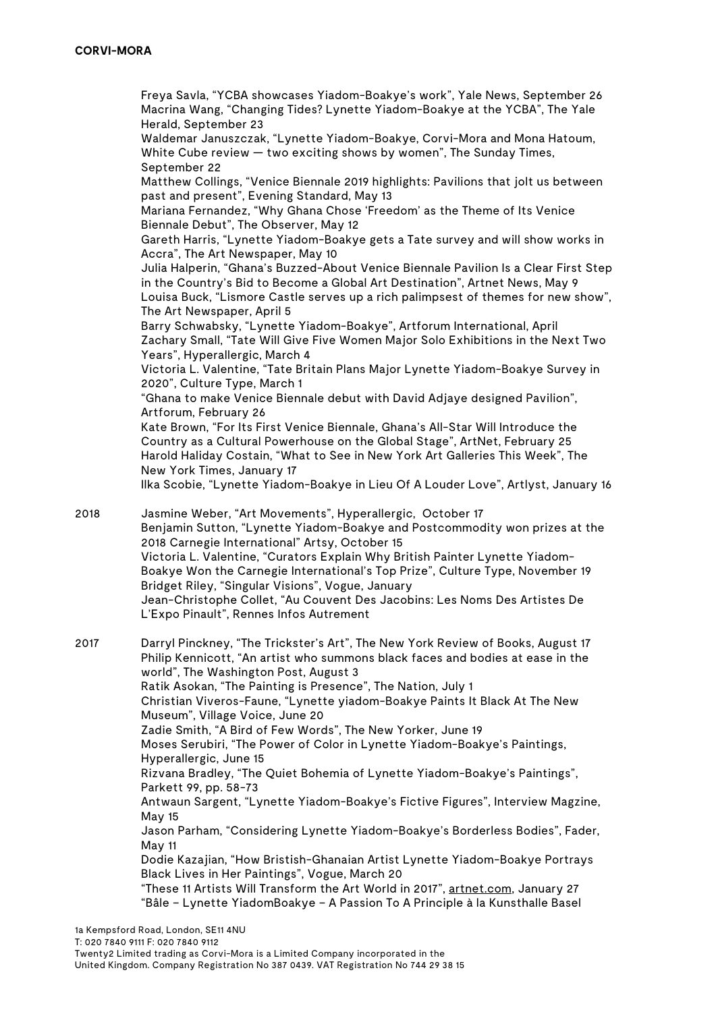Freya Savla, "YCBA showcases Yiadom-Boakye's work", Yale News, September 26 Macrina Wang, "Changing Tides? Lynette Yiadom-Boakye at the YCBA", The Yale Herald, September 23 Waldemar Januszczak, "Lynette Yiadom-Boakye, Corvi-Mora and Mona Hatoum, White Cube review  $-$  two exciting shows by women". The Sunday Times, September 22 Matthew Collings, "Venice Biennale 2019 highlights: Pavilions that jolt us between past and present", Evening Standard, May 13 Mariana Fernandez, "Why Ghana Chose 'Freedom' as the Theme of Its Venice Biennale Debut", The Observer, May 12 Gareth Harris, "Lynette Yiadom-Boakye gets a Tate survey and will show works in Accra", The Art Newspaper, May 10 Julia Halperin, "Ghana's Buzzed-About Venice Biennale Pavilion Is a Clear First Step in the Country's Bid to Become a Global Art Destination", Artnet News, May 9 Louisa Buck, "Lismore Castle serves up a rich palimpsest of themes for new show", The Art Newspaper, April 5 Barry Schwabsky, "Lynette Yiadom-Boakye", Artforum International, April Zachary Small, "Tate Will Give Five Women Major Solo Exhibitions in the Next Two Years", Hyperallergic, March 4 Victoria L. Valentine, "Tate Britain Plans Major Lynette Yiadom-Boakye Survey in 2020", Culture Type, March 1 "Ghana to make Venice Biennale debut with David Adjaye designed Pavilion", Artforum, February 26 Kate Brown, "For Its First Venice Biennale, Ghana's All-Star Will Introduce the Country as a Cultural Powerhouse on the Global Stage", ArtNet, February 25 Harold Haliday Costain, "What to See in New York Art Galleries This Week", The New York Times, January 17 Ilka Scobie, "Lynette Yiadom-Boakye in Lieu Of A Louder Love", Artlyst, January 16 2018 Jasmine Weber, "Art Movements", Hyperallergic, October 17 Benjamin Sutton, "Lynette Yiadom-Boakye and Postcommodity won prizes at the 2018 Carnegie International" Artsy, October 15 Victoria L. Valentine, "Curators Explain Why British Painter Lynette Yiadom-Boakye Won the Carnegie International's Top Prize", Culture Type, November 19 Bridget Riley, "Singular Visions", Vogue, January Jean-Christophe Collet, "Au Couvent Des Jacobins: Les Noms Des Artistes De L'Expo Pinault", Rennes Infos Autrement 2017 Darryl Pinckney, "The Trickster's Art", The New York Review of Books, August 17 Philip Kennicott, "An artist who summons black faces and bodies at ease in the world", The Washington Post, August 3 Ratik Asokan, "The Painting is Presence", The Nation, July 1 Christian Viveros-Faune, "Lynette yiadom-Boakye Paints It Black At The New Museum", Village Voice, June 20 Zadie Smith, "A Bird of Few Words", The New Yorker, June 19 Moses Serubiri, "The Power of Color in Lynette Yiadom-Boakye's Paintings, Hyperallergic, June 15 Rizvana Bradley, "The Quiet Bohemia of Lynette Yiadom-Boakye's Paintings", Parkett 99, pp. 58-73 Antwaun Sargent, "Lynette Yiadom-Boakye's Fictive Figures", Interview Magzine, May 15 Jason Parham, "Considering Lynette Yiadom-Boakye's Borderless Bodies", Fader,

May 11 Dodie Kazajian, "How Bristish-Ghanaian Artist Lynette Yiadom-Boakye Portrays Black Lives in Her Paintings", Vogue, March 20

"These 11 Artists Will Transform the Art World in 2017", artnet.com, January 27 "Bâle – Lynette YiadomBoakye – A Passion To A Principle à la Kunsthalle Basel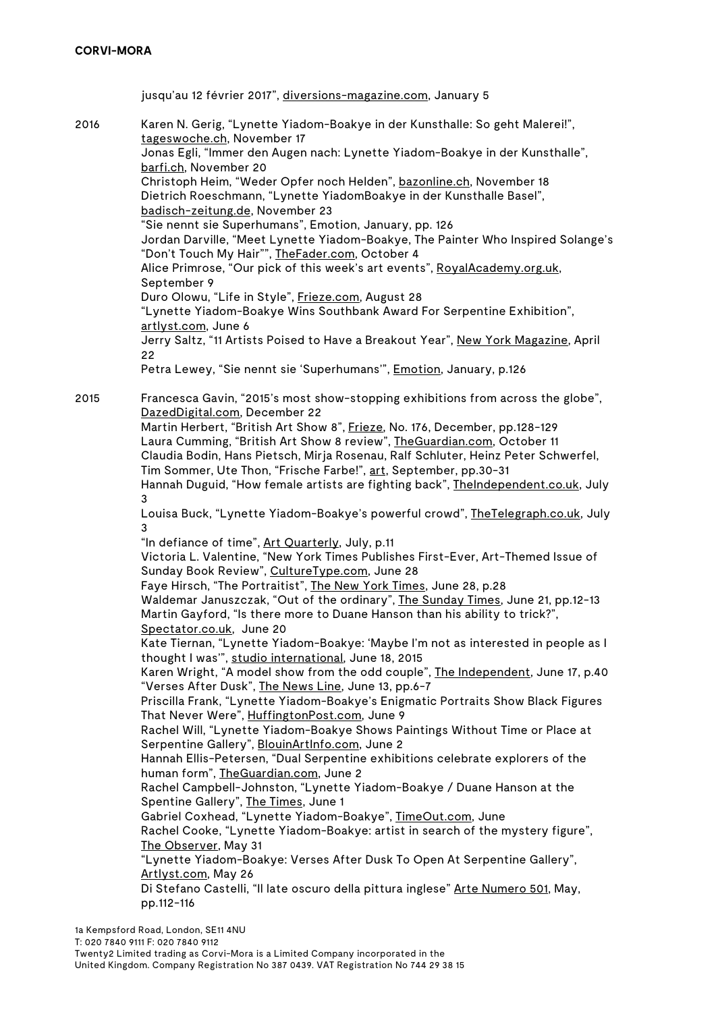|      | jusqu'au 12 février 2017", diversions-magazine.com, January 5                                                                                                                                 |
|------|-----------------------------------------------------------------------------------------------------------------------------------------------------------------------------------------------|
| 2016 | Karen N. Gerig, "Lynette Yiadom-Boakye in der Kunsthalle: So geht Malerei!",<br>tageswoche.ch, November 17                                                                                    |
|      | Jonas Egli, "Immer den Augen nach: Lynette Yiadom-Boakye in der Kunsthalle",<br>barfi.ch, November 20                                                                                         |
|      | Christoph Heim, "Weder Opfer noch Helden", bazonline.ch, November 18                                                                                                                          |
|      | Dietrich Roeschmann, "Lynette YiadomBoakye in der Kunsthalle Basel",                                                                                                                          |
|      | badisch-zeitung.de, November 23                                                                                                                                                               |
|      | "Sie nennt sie Superhumans", Emotion, January, pp. 126<br>Jordan Darville, "Meet Lynette Yiadom-Boakye, The Painter Who Inspired Solange's<br>"Don't Touch My Hair"", TheFader.com, October 4 |
|      | Alice Primrose, "Our pick of this week's art events", RoyalAcademy.org.uk,<br>September 9                                                                                                     |
|      | Duro Olowu, "Life in Style", Frieze.com, August 28                                                                                                                                            |
|      | "Lynette Yiadom-Boakye Wins Southbank Award For Serpentine Exhibition",<br>artivst.com, June 6                                                                                                |
|      | Jerry Saltz, "11 Artists Poised to Have a Breakout Year", New York Magazine, April<br>22                                                                                                      |
|      | Petra Lewey, "Sie nennt sie 'Superhumans'", <i>Emotion</i> , January, p.126                                                                                                                   |
| 2015 | Francesca Gavin, "2015's most show-stopping exhibitions from across the globe",<br>DazedDigital.com, December 22                                                                              |
|      | Martin Herbert, "British Art Show 8", Frieze, No. 176, December, pp.128-129                                                                                                                   |
|      | Laura Cumming, "British Art Show 8 review", TheGuardian.com, October 11                                                                                                                       |
|      | Claudia Bodin, Hans Pietsch, Mirja Rosenau, Ralf Schluter, Heinz Peter Schwerfel,                                                                                                             |
|      | Tim Sommer, Ute Thon, "Frische Farbe!", art, September, pp.30-31                                                                                                                              |
|      | Hannah Duguid, "How female artists are fighting back", TheIndependent.co.uk, July<br>3                                                                                                        |
|      | Louisa Buck, "Lynette Yiadom-Boakye's powerful crowd", TheTelegraph.co.uk, July<br>3                                                                                                          |
|      | "In defiance of time", Art Quarterly, July, p.11                                                                                                                                              |
|      | Victoria L. Valentine, "New York Times Publishes First-Ever, Art-Themed Issue of                                                                                                              |
|      | Sunday Book Review", CultureType.com, June 28                                                                                                                                                 |
|      | Faye Hirsch, "The Portraitist", The New York Times, June 28, p.28                                                                                                                             |
|      | Waldemar Januszczak, "Out of the ordinary", The Sunday Times, June 21, pp.12-13<br>Martin Gayford, "Is there more to Duane Hanson than his ability to trick?",                                |
|      | Spectator.co.uk, June 20<br>Kate Tiernan, "Lynette Yiadom-Boakye: 'Maybe I'm not as interested in people as I                                                                                 |
|      | thought I was", studio international, June 18, 2015                                                                                                                                           |
|      | Karen Wright, "A model show from the odd couple", The Independent, June 17, p.40                                                                                                              |
|      | "Verses After Dusk", The News Line, June 13, pp.6-7<br>Priscilla Frank, "Lynette Yiadom-Boakye's Enigmatic Portraits Show Black Figures                                                       |
|      | That Never Were", HuffingtonPost.com, June 9                                                                                                                                                  |
|      | Rachel Will, "Lynette Yiadom-Boakye Shows Paintings Without Time or Place at<br>Serpentine Gallery", BlouinArtInfo.com, June 2                                                                |
|      | Hannah Ellis-Petersen, "Dual Serpentine exhibitions celebrate explorers of the<br>human form", TheGuardian.com, June 2                                                                        |
|      | Rachel Campbell-Johnston, "Lynette Yiadom-Boakye / Duane Hanson at the<br>Spentine Gallery", The Times, June 1                                                                                |
|      | Gabriel Coxhead, "Lynette Yiadom-Boakye", TimeOut.com, June                                                                                                                                   |
|      | Rachel Cooke, "Lynette Yiadom-Boakye: artist in search of the mystery figure",<br>The Observer, May 31                                                                                        |
|      | "Lynette Yiadom-Boakye: Verses After Dusk To Open At Serpentine Gallery",<br>Artlyst.com, May 26                                                                                              |
|      | Di Stefano Castelli, "Il late oscuro della pittura inglese" Arte Numero 501, May,<br>pp.112-116                                                                                               |
|      |                                                                                                                                                                                               |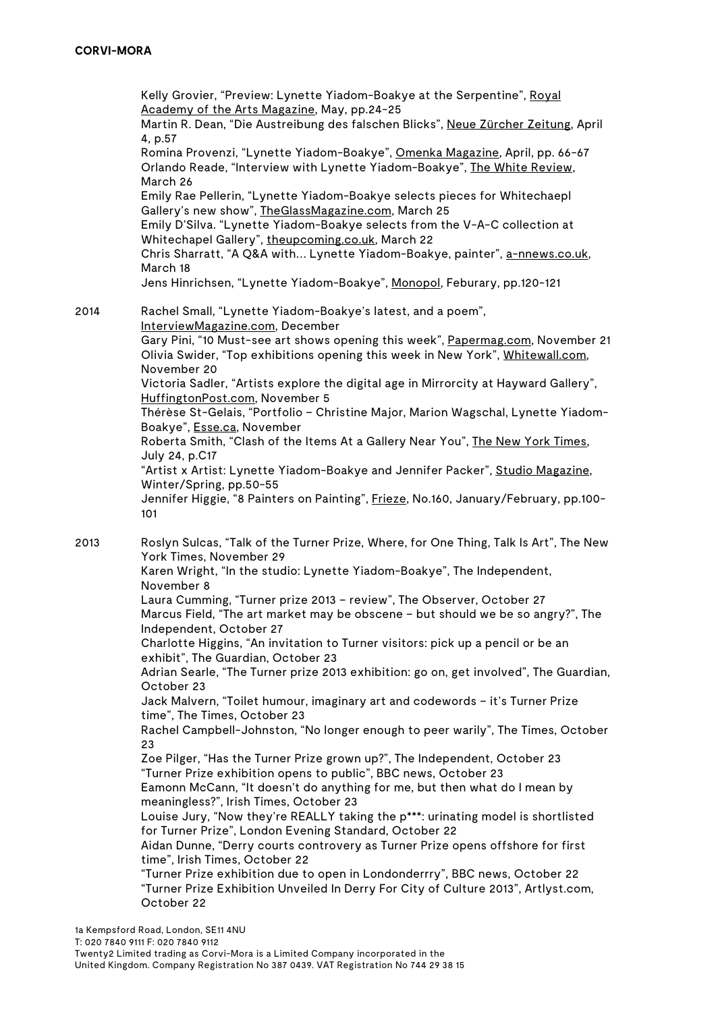Kelly Grovier, "Preview: Lynette Yiadom-Boakye at the Serpentine", Royal Academy of the Arts Magazine, May, pp.24-25 Martin R. Dean, "Die Austreibung des falschen Blicks", Neue Zürcher Zeitung, April 4, p.57 Romina Provenzi, "Lynette Yiadom-Boakye", Omenka Magazine, April, pp. 66-67 Orlando Reade, "Interview with Lynette Yiadom-Boakye", The White Review, March 26 Emily Rae Pellerin, "Lynette Yiadom-Boakye selects pieces for Whitechaepl Gallery's new show", TheGlassMagazine.com, March 25 Emily D'Silva. "Lynette Yiadom-Boakye selects from the V-A-C collection at Whitechapel Gallery", theupcoming.co.uk, March 22 Chris Sharratt, "A Q&A with... Lynette Yiadom-Boakye, painter", a-nnews.co.uk, March 18 Jens Hinrichsen, "Lynette Yiadom-Boakye", Monopol, Feburary, pp.120-121 2014 Rachel Small, "Lynette Yiadom-Boakye's latest, and a poem", InterviewMagazine.com, December Gary Pini, "10 Must-see art shows opening this week", Papermag.com, November 21 Olivia Swider, "Top exhibitions opening this week in New York", Whitewall.com, November 20 Victoria Sadler, "Artists explore the digital age in Mirrorcity at Hayward Gallery", HuffingtonPost.com, November 5 Thérèse St-Gelais, "Portfolio – Christine Major, Marion Wagschal, Lynette Yiadom-Boakye", Esse.ca, November Roberta Smith, "Clash of the Items At a Gallery Near You", The New York Times, July 24, p.C17 "Artist x Artist: Lynette Yiadom-Boakye and Jennifer Packer", Studio Magazine, Winter/Spring, pp.50-55 Jennifer Higgie, "8 Painters on Painting", Frieze, No.160, January/February, pp.100- 101 2013 Roslyn Sulcas, "Talk of the Turner Prize, Where, for One Thing, Talk Is Art", The New York Times, November 29 Karen Wright, "In the studio: Lynette Yiadom-Boakye", The Independent, November 8 Laura Cumming, "Turner prize 2013 – review", The Observer, October 27 Marcus Field, "The art market may be obscene – but should we be so angry?", The Independent, October 27 Charlotte Higgins, "An invitation to Turner visitors: pick up a pencil or be an exhibit", The Guardian, October 23 Adrian Searle, "The Turner prize 2013 exhibition: go on, get involved", The Guardian, October 23 Jack Malvern, "Toilet humour, imaginary art and codewords – it's Turner Prize time", The Times, October 23 Rachel Campbell-Johnston, "No longer enough to peer warily", The Times, October 23 Zoe Pilger, "Has the Turner Prize grown up?", The Independent, October 23 "Turner Prize exhibition opens to public", BBC news, October 23 Eamonn McCann, "It doesn't do anything for me, but then what do I mean by meaningless?", Irish Times, October 23 Louise Jury, "Now they're REALLY taking the p\*\*\*: urinating model is shortlisted for Turner Prize", London Evening Standard, October 22 Aidan Dunne, "Derry courts controvery as Turner Prize opens offshore for first time", Irish Times, October 22 "Turner Prize exhibition due to open in Londonderrry", BBC news, October 22 "Turner Prize Exhibition Unveiled In Derry For City of Culture 2013", Artlyst.com, October 22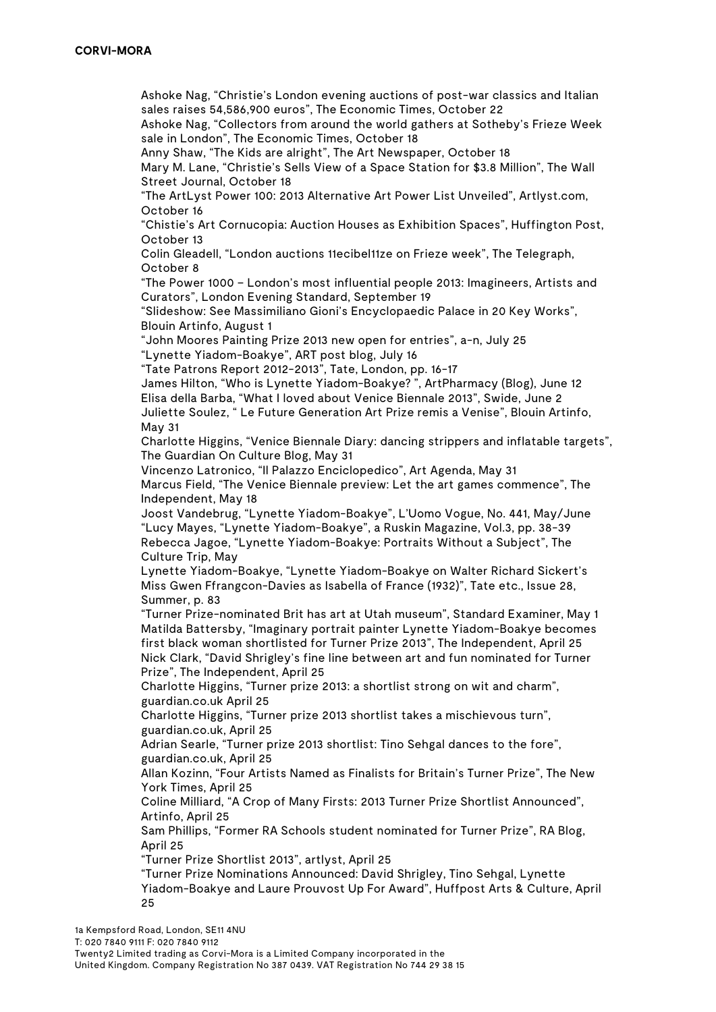Ashoke Nag, "Christie's London evening auctions of post-war classics and Italian sales raises 54,586,900 euros", The Economic Times, October 22

Ashoke Nag, "Collectors from around the world gathers at Sotheby's Frieze Week sale in London", The Economic Times, October 18

Anny Shaw, "The Kids are alright", The Art Newspaper, October 18

Mary M. Lane, "Christie's Sells View of a Space Station for \$3.8 Million", The Wall Street Journal, October 18

"The ArtLyst Power 100: 2013 Alternative Art Power List Unveiled", Artlyst.com, October 16

"Chistie's Art Cornucopia: Auction Houses as Exhibition Spaces", Huffington Post, October 13

Colin Gleadell, "London auctions 11ecibel11ze on Frieze week", The Telegraph, October 8

"The Power 1000 – London's most influential people 2013: Imagineers, Artists and Curators", London Evening Standard, September 19

"Slideshow: See Massimiliano Gioni's Encyclopaedic Palace in 20 Key Works", Blouin Artinfo, August 1

"John Moores Painting Prize 2013 new open for entries", a-n, July 25 "Lynette Yiadom-Boakye", ART post blog, July 16

"Tate Patrons Report 2012-2013", Tate, London, pp. 16-17

James Hilton, "Who is Lynette Yiadom-Boakye? ", ArtPharmacy (Blog), June 12 Elisa della Barba, "What I loved about Venice Biennale 2013", Swide, June 2 Juliette Soulez, " Le Future Generation Art Prize remis a Venise", Blouin Artinfo, May 31

Charlotte Higgins, "Venice Biennale Diary: dancing strippers and inflatable targets", The Guardian On Culture Blog, May 31

Vincenzo Latronico, "Il Palazzo Enciclopedico", Art Agenda, May 31 Marcus Field, "The Venice Biennale preview: Let the art games commence", The Independent, May 18

Joost Vandebrug, "Lynette Yiadom-Boakye", L'Uomo Vogue, No. 441, May/June "Lucy Mayes, "Lynette Yiadom-Boakye", a Ruskin Magazine, Vol.3, pp. 38-39 Rebecca Jagoe, "Lynette Yiadom-Boakye: Portraits Without a Subject", The Culture Trip, May

Lynette Yiadom-Boakye, "Lynette Yiadom-Boakye on Walter Richard Sickert's Miss Gwen Ffrangcon-Davies as Isabella of France (1932)", Tate etc., Issue 28, Summer, p. 83

"Turner Prize-nominated Brit has art at Utah museum", Standard Examiner, May 1 Matilda Battersby, "Imaginary portrait painter Lynette Yiadom-Boakye becomes first black woman shortlisted for Turner Prize 2013", The Independent, April 25 Nick Clark, "David Shrigley's fine line between art and fun nominated for Turner Prize", The Independent, April 25

Charlotte Higgins, "Turner prize 2013: a shortlist strong on wit and charm", guardian.co.uk April 25

Charlotte Higgins, "Turner prize 2013 shortlist takes a mischievous turn", guardian.co.uk, April 25

Adrian Searle, "Turner prize 2013 shortlist: Tino Sehgal dances to the fore", guardian.co.uk, April 25

Allan Kozinn, "Four Artists Named as Finalists for Britain's Turner Prize", The New York Times, April 25

Coline Milliard, "A Crop of Many Firsts: 2013 Turner Prize Shortlist Announced", Artinfo, April 25

Sam Phillips, "Former RA Schools student nominated for Turner Prize", RA Blog, April 25

"Turner Prize Shortlist 2013", artlyst, April 25

"Turner Prize Nominations Announced: David Shrigley, Tino Sehgal, Lynette Yiadom-Boakye and Laure Prouvost Up For Award", Huffpost Arts & Culture, April 25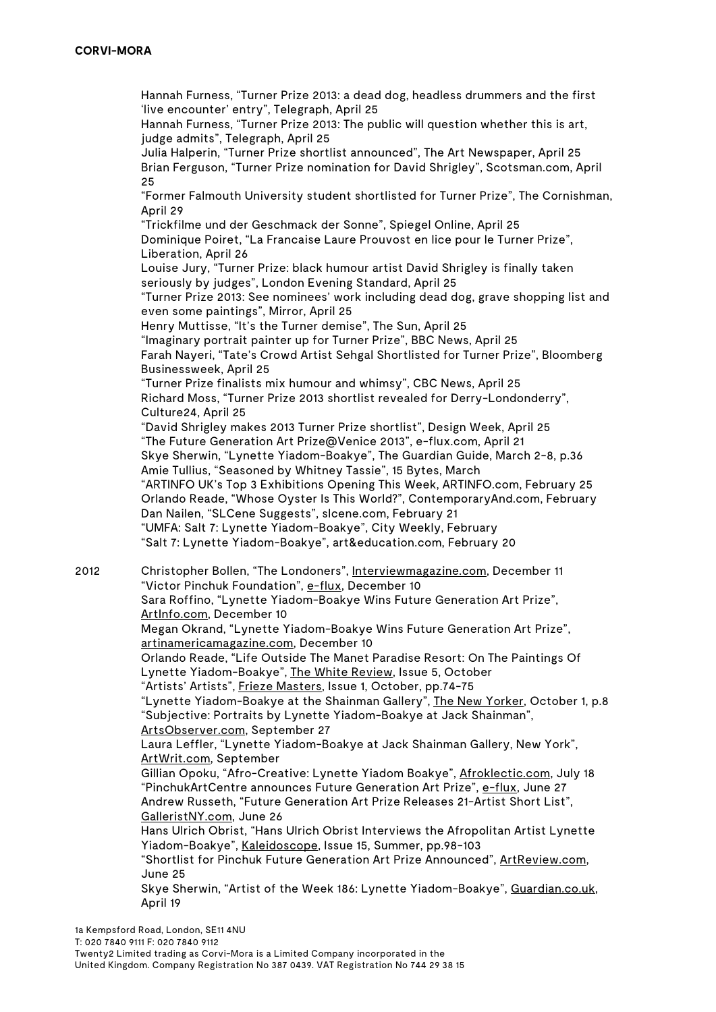Hannah Furness, "Turner Prize 2013: a dead dog, headless drummers and the first 'live encounter' entry", Telegraph, April 25 Hannah Furness, "Turner Prize 2013: The public will question whether this is art, judge admits", Telegraph, April 25 Julia Halperin, "Turner Prize shortlist announced", The Art Newspaper, April 25 Brian Ferguson, "Turner Prize nomination for David Shrigley", Scotsman.com, April 25 "Former Falmouth University student shortlisted for Turner Prize", The Cornishman, April 29 "Trickfilme und der Geschmack der Sonne", Spiegel Online, April 25 Dominique Poiret, "La Francaise Laure Prouvost en lice pour le Turner Prize", Liberation, April 26 Louise Jury, "Turner Prize: black humour artist David Shrigley is finally taken seriously by judges", London Evening Standard, April 25 "Turner Prize 2013: See nominees' work including dead dog, grave shopping list and even some paintings", Mirror, April 25 Henry Muttisse, "It's the Turner demise", The Sun, April 25 "Imaginary portrait painter up for Turner Prize", BBC News, April 25 Farah Nayeri, "Tate's Crowd Artist Sehgal Shortlisted for Turner Prize", Bloomberg Businessweek, April 25 "Turner Prize finalists mix humour and whimsy", CBC News, April 25 Richard Moss, "Turner Prize 2013 shortlist revealed for Derry-Londonderry", Culture24, April 25 "David Shrigley makes 2013 Turner Prize shortlist", Design Week, April 25 "The Future Generation Art Prize@Venice 2013", e-flux.com, April 21 Skye Sherwin, "Lynette Yiadom-Boakye", The Guardian Guide, March 2-8, p.36 Amie Tullius, "Seasoned by Whitney Tassie", 15 Bytes, March "ARTINFO UK's Top 3 Exhibitions Opening This Week, ARTINFO.com, February 25 Orlando Reade, "Whose Oyster Is This World?", ContemporaryAnd.com, February Dan Nailen, "SLCene Suggests", slcene.com, February 21 "UMFA: Salt 7: Lynette Yiadom-Boakye", City Weekly, February "Salt 7: Lynette Yiadom-Boakye", art&education.com, February 20 2012 Christopher Bollen, "The Londoners", Interviewmagazine.com, December 11 "Victor Pinchuk Foundation", e-flux, December 10 Sara Roffino, "Lynette Yiadom-Boakye Wins Future Generation Art Prize", ArtInfo.com, December 10 Megan Okrand, "Lynette Yiadom-Boakye Wins Future Generation Art Prize", artinamericamagazine.com, December 10 Orlando Reade, "Life Outside The Manet Paradise Resort: On The Paintings Of Lynette Yiadom-Boakye", The White Review, Issue 5, October "Artists' Artists", Frieze Masters, Issue 1, October, pp.74-75 "Lynette Yiadom-Boakye at the Shainman Gallery", The New Yorker, October 1, p.8 "Subjective: Portraits by Lynette Yiadom-Boakye at Jack Shainman", ArtsObserver.com, September 27 Laura Leffler, "Lynette Yiadom-Boakye at Jack Shainman Gallery, New York", ArtWrit.com, September Gillian Opoku, "Afro-Creative: Lynette Yiadom Boakye", Afroklectic.com, July 18 "PinchukArtCentre announces Future Generation Art Prize", e-flux, June 27 Andrew Russeth, "Future Generation Art Prize Releases 21-Artist Short List", GalleristNY.com, June 26 Hans Ulrich Obrist, "Hans Ulrich Obrist Interviews the Afropolitan Artist Lynette Yiadom-Boakye", Kaleidoscope, Issue 15, Summer, pp.98-103 "Shortlist for Pinchuk Future Generation Art Prize Announced", ArtReview.com, June 25 Skye Sherwin, "Artist of the Week 186: Lynette Yiadom-Boakye", Guardian.co.uk, April 19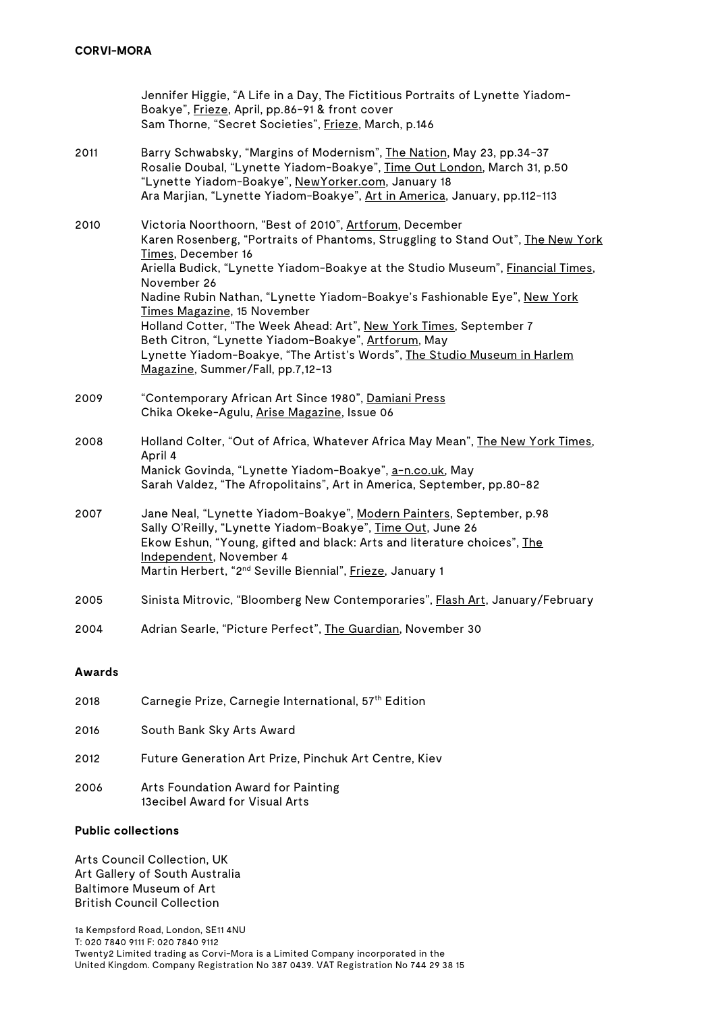Jennifer Higgie, "A Life in a Day, The Fictitious Portraits of Lynette Yiadom-Boakye", Frieze, April, pp.86-91 & front cover Sam Thorne, "Secret Societies", Frieze, March, p.146 2011 Barry Schwabsky, "Margins of Modernism", The Nation, May 23, pp.34-37 Rosalie Doubal, "Lynette Yiadom-Boakye", Time Out London, March 31, p.50 "Lynette Yiadom-Boakye", NewYorker.com, January 18 Ara Marjian, "Lynette Yiadom-Boakye", Art in America, January, pp.112-113 2010 Victoria Noorthoorn, "Best of 2010", Artforum, December Karen Rosenberg, "Portraits of Phantoms, Struggling to Stand Out", The New York Times, December 16 Ariella Budick, "Lynette Yiadom-Boakye at the Studio Museum", Financial Times, November 26 Nadine Rubin Nathan, "Lynette Yiadom-Boakye's Fashionable Eye", New York Times Magazine, 15 November Holland Cotter, "The Week Ahead: Art", New York Times, September 7 Beth Citron, "Lynette Yiadom-Boakye", Artforum, May Lynette Yiadom-Boakye, "The Artist's Words", The Studio Museum in Harlem Magazine, Summer/Fall, pp.7,12-13 2009 "Contemporary African Art Since 1980", Damiani Press Chika Okeke-Agulu, Arise Magazine, Issue 06 2008 Holland Colter, "Out of Africa, Whatever Africa May Mean", The New York Times, April 4 Manick Govinda, "Lynette Yiadom-Boakye", a-n.co.uk, May Sarah Valdez, "The Afropolitains", Art in America, September, pp.80-82 2007 Jane Neal, "Lynette Yiadom-Boakye", Modern Painters, September, p.98 Sally O'Reilly, "Lynette Yiadom-Boakye", Time Out, June 26 Ekow Eshun, "Young, gifted and black: Arts and literature choices", The Independent, November 4 Martin Herbert, "2nd Seville Biennial", Frieze, January 1 2005 Sinista Mitrovic, "Bloomberg New Contemporaries", Flash Art, January/February 2004 Adrian Searle, "Picture Perfect", The Guardian, November 30

## **Awards**

| 2018 | Carnegie Prize, Carnegie International, 57 <sup>th</sup> Edition     |
|------|----------------------------------------------------------------------|
| 2016 | South Bank Sky Arts Award                                            |
| 2012 | Future Generation Art Prize, Pinchuk Art Centre, Kiev                |
| 2006 | Arts Foundation Award for Painting<br>13ecibel Award for Visual Arts |

## **Public collections**

Arts Council Collection, UK Art Gallery of South Australia Baltimore Museum of Art British Council Collection